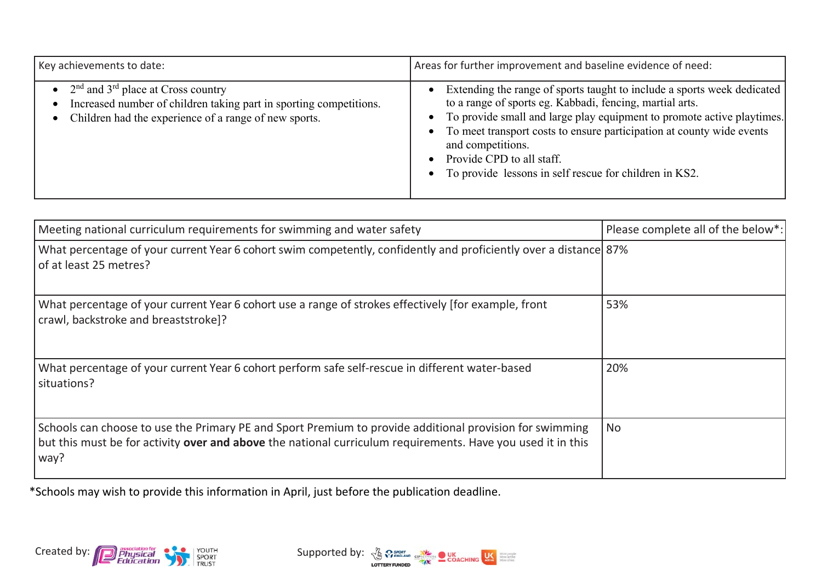| Key achievements to date:                                                                                                                                               | Areas for further improvement and baseline evidence of need:                                                                                                                                                                                                                                                                                                                                                                                           |
|-------------------------------------------------------------------------------------------------------------------------------------------------------------------------|--------------------------------------------------------------------------------------------------------------------------------------------------------------------------------------------------------------------------------------------------------------------------------------------------------------------------------------------------------------------------------------------------------------------------------------------------------|
| • $2nd$ and $3rd$ place at Cross country<br>Increased number of children taking part in sporting competitions.<br>Children had the experience of a range of new sports. | Extending the range of sports taught to include a sports week dedicated<br>$\bullet$<br>to a range of sports eg. Kabbadi, fencing, martial arts.<br>To provide small and large play equipment to promote active playtimes.<br>$\bullet$<br>To meet transport costs to ensure participation at county wide events<br>$\bullet$<br>and competitions.<br>Provide CPD to all staff.<br>To provide lessons in self rescue for children in KS2.<br>$\bullet$ |

| Meeting national curriculum requirements for swimming and water safety                                                                                                                                                         | Please complete all of the below*: |
|--------------------------------------------------------------------------------------------------------------------------------------------------------------------------------------------------------------------------------|------------------------------------|
| What percentage of your current Year 6 cohort swim competently, confidently and proficiently over a distance 87%<br>of at least 25 metres?                                                                                     |                                    |
| What percentage of your current Year 6 cohort use a range of strokes effectively [for example, front<br>crawl, backstroke and breaststroke]?                                                                                   | 53%                                |
| What percentage of your current Year 6 cohort perform safe self-rescue in different water-based<br>situations?                                                                                                                 | 20%                                |
| Schools can choose to use the Primary PE and Sport Premium to provide additional provision for swimming<br>but this must be for activity over and above the national curriculum requirements. Have you used it in this<br>way? | <b>No</b>                          |

\*Schools may wish to provide this information in April, just before the publication deadline.



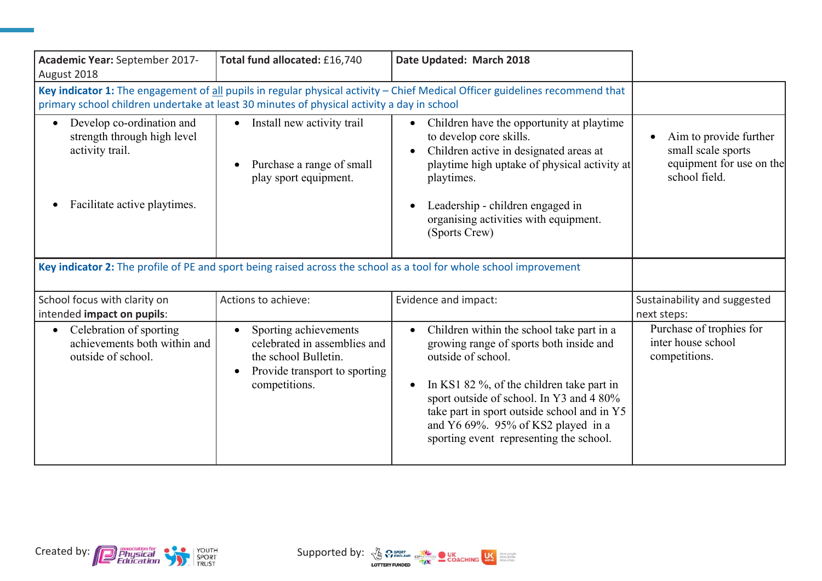| Academic Year: September 2017-<br>August 2018                                                                                                                                                                              | Total fund allocated: £16,740                                                                                                                             | Date Updated: March 2018                                                                                                                                                                                                                                                                                                            |                                                                                           |
|----------------------------------------------------------------------------------------------------------------------------------------------------------------------------------------------------------------------------|-----------------------------------------------------------------------------------------------------------------------------------------------------------|-------------------------------------------------------------------------------------------------------------------------------------------------------------------------------------------------------------------------------------------------------------------------------------------------------------------------------------|-------------------------------------------------------------------------------------------|
| Key indicator 1: The engagement of all pupils in regular physical activity - Chief Medical Officer guidelines recommend that<br>primary school children undertake at least 30 minutes of physical activity a day in school |                                                                                                                                                           |                                                                                                                                                                                                                                                                                                                                     |                                                                                           |
| Develop co-ordination and<br>$\bullet$<br>strength through high level<br>activity trail.<br>Facilitate active playtimes.                                                                                                   | Install new activity trail<br>$\bullet$<br>Purchase a range of small<br>play sport equipment.                                                             | Children have the opportunity at playtime<br>to develop core skills.<br>Children active in designated areas at<br>playtime high uptake of physical activity at<br>playtimes.<br>Leadership - children engaged in<br>organising activities with equipment.<br>(Sports Crew)                                                          | Aim to provide further<br>small scale sports<br>equipment for use on the<br>school field. |
| Key indicator 2: The profile of PE and sport being raised across the school as a tool for whole school improvement                                                                                                         |                                                                                                                                                           |                                                                                                                                                                                                                                                                                                                                     |                                                                                           |
| School focus with clarity on<br>intended impact on pupils:                                                                                                                                                                 | Actions to achieve:                                                                                                                                       | Evidence and impact:                                                                                                                                                                                                                                                                                                                | Sustainability and suggested<br>next steps:                                               |
| Celebration of sporting<br>$\bullet$<br>achievements both within and<br>outside of school.                                                                                                                                 | Sporting achievements<br>$\bullet$<br>celebrated in assemblies and<br>the school Bulletin.<br>Provide transport to sporting<br>$\bullet$<br>competitions. | Children within the school take part in a<br>growing range of sports both inside and<br>outside of school.<br>In KS1 82 %, of the children take part in<br>sport outside of school. In Y3 and 4 80%<br>take part in sport outside school and in Y5<br>and Y6 69%. 95% of KS2 played in a<br>sporting event representing the school. | Purchase of trophies for<br>inter house school<br>competitions.                           |



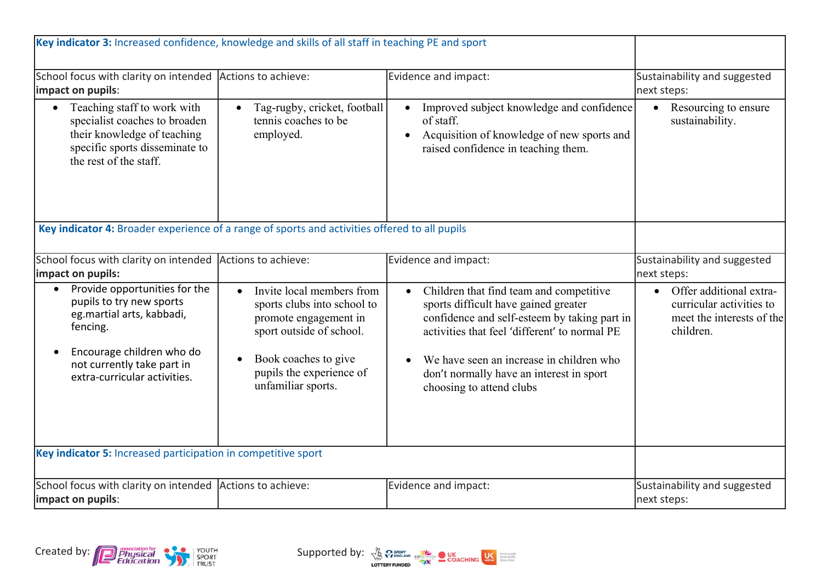| Key indicator 3: Increased confidence, knowledge and skills of all staff in teaching PE and sport                                                                                             |                                                                                                                                                                                                                   |                                                                                                                                                                                                                                                                                                      |                                                                                               |
|-----------------------------------------------------------------------------------------------------------------------------------------------------------------------------------------------|-------------------------------------------------------------------------------------------------------------------------------------------------------------------------------------------------------------------|------------------------------------------------------------------------------------------------------------------------------------------------------------------------------------------------------------------------------------------------------------------------------------------------------|-----------------------------------------------------------------------------------------------|
| School focus with clarity on intended Actions to achieve:<br>impact on pupils:                                                                                                                |                                                                                                                                                                                                                   | Evidence and impact:                                                                                                                                                                                                                                                                                 | Sustainability and suggested<br>next steps:                                                   |
| Teaching staff to work with<br>$\bullet$<br>specialist coaches to broaden<br>their knowledge of teaching<br>specific sports disseminate to<br>the rest of the staff.                          | Tag-rugby, cricket, football<br>$\bullet$<br>tennis coaches to be<br>employed.                                                                                                                                    | Improved subject knowledge and confidence<br>$\bullet$<br>of staff.<br>Acquisition of knowledge of new sports and<br>raised confidence in teaching them.                                                                                                                                             | Resourcing to ensure<br>$\bullet$<br>sustainability.                                          |
| Key indicator 4: Broader experience of a range of sports and activities offered to all pupils                                                                                                 |                                                                                                                                                                                                                   |                                                                                                                                                                                                                                                                                                      |                                                                                               |
| School focus with clarity on intended<br>impact on pupils:                                                                                                                                    | Actions to achieve:                                                                                                                                                                                               | Evidence and impact:                                                                                                                                                                                                                                                                                 | Sustainability and suggested<br>next steps:                                                   |
| Provide opportunities for the<br>pupils to try new sports<br>eg.martial arts, kabbadi,<br>fencing.<br>Encourage children who do<br>not currently take part in<br>extra-curricular activities. | Invite local members from<br>$\bullet$<br>sports clubs into school to<br>promote engagement in<br>sport outside of school.<br>Book coaches to give<br>$\bullet$<br>pupils the experience of<br>unfamiliar sports. | Children that find team and competitive<br>sports difficult have gained greater<br>confidence and self-esteem by taking part in<br>activities that feel 'different' to normal PE<br>We have seen an increase in children who<br>don't normally have an interest in sport<br>choosing to attend clubs | Offer additional extra-<br>curricular activities to<br>meet the interests of the<br>children. |
| Key indicator 5: Increased participation in competitive sport                                                                                                                                 |                                                                                                                                                                                                                   |                                                                                                                                                                                                                                                                                                      |                                                                                               |
| School focus with clarity on intended Actions to achieve:<br>impact on pupils:                                                                                                                |                                                                                                                                                                                                                   | Evidence and impact:                                                                                                                                                                                                                                                                                 | Sustainability and suggested<br>next steps:                                                   |